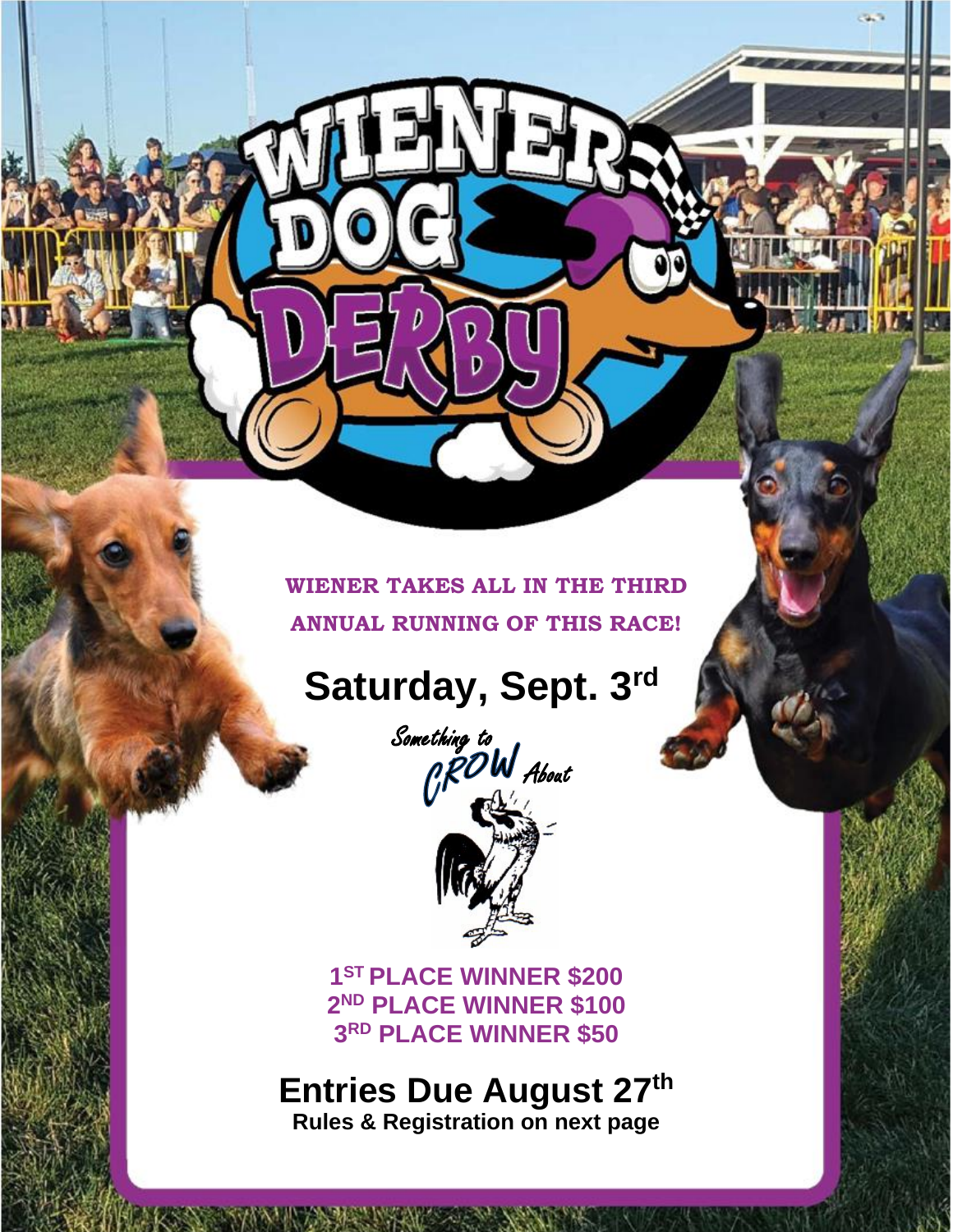#### **WIENER TAKES ALL IN THE THIRD ANNUAL RUNNING OF THIS RACE!**

Ŋ

# **Saturday, Sept. 3rd**



**1 ST PLACE WINNER \$200 2 ND PLACE WINNER \$100 3 RD PLACE WINNER \$50**

#### **Entries Due August 27th Rules & Registration on next page**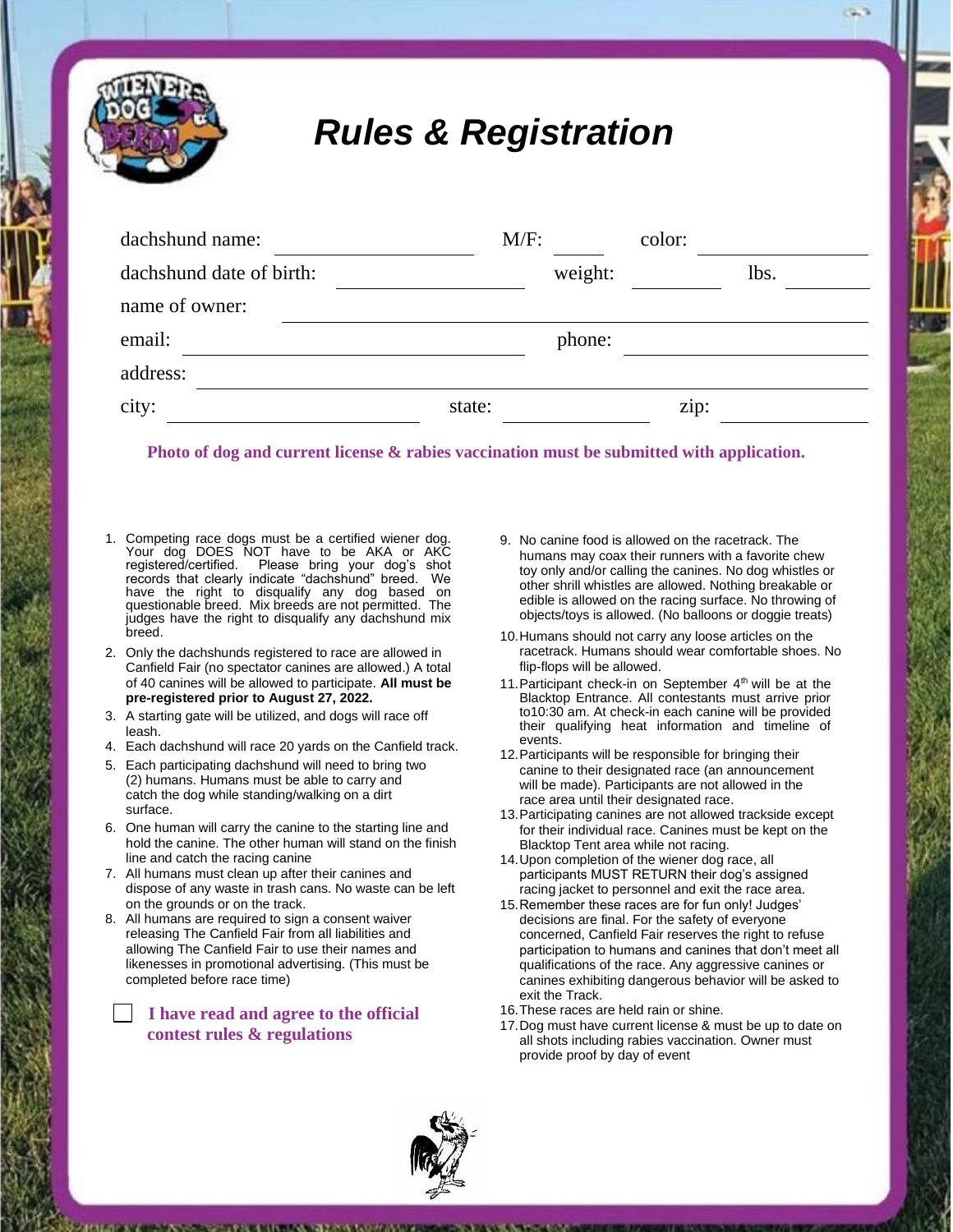### *Rules & Registration*

| dachshund name:          | $M/F$ : |         | color: |      |  |
|--------------------------|---------|---------|--------|------|--|
| dachshund date of birth: |         | weight: |        | lbs. |  |
| name of owner:           |         |         |        |      |  |
| email:                   |         | phone:  |        |      |  |
| address:                 |         |         |        |      |  |
| city:                    | state:  |         | zip:   |      |  |

**Photo of dog and current license & rabies vaccination must be submitted with application.**

- 1. Competing race dogs must be a certified wiener dog. Your dog DOES NOT have to be AKA or AKC<br>registered/certified. Please bring your dog's shot Please bring your dog's shot records that clearly indicate "dachshund" breed. We have the right to disqualify any dog based on questionable breed. Mix breeds are not permitted. The judges have the right to disqualify any dachshund mix breed.
- 2. Only the dachshunds registered to race are allowed in Canfield Fair (no spectator canines are allowed.) A total of 40 canines will be allowed to participate. **All must be pre-registered prior to August 27, 2022.**
- 3. A starting gate will be utilized, and dogs will race off leash.
- 4. Each dachshund will race 20 yards on the Canfield track.
- 5. Each participating dachshund will need to bring two (2) humans. Humans must be able to carry and catch the dog while standing/walking on a dirt surface.
- 6. One human will carry the canine to the starting line and hold the canine. The other human will stand on the finish line and catch the racing canine
- 7. All humans must clean up after their canines and dispose of any waste in trash cans. No waste can be left on the grounds or on the track.
- 8. All humans are required to sign a consent waiver releasing The Canfield Fair from all liabilities and allowing The Canfield Fair to use their names and likenesses in promotional advertising. (This must be completed before race time)

 **I have read and agree to the official contest rules & regulations**

- 9. No canine food is allowed on the racetrack. The humans may coax their runners with a favorite chew toy only and/or calling the canines. No dog whistles or other shrill whistles are allowed. Nothing breakable or edible is allowed on the racing surface. No throwing of objects/toys is allowed. (No balloons or doggie treats)
- 10.Humans should not carry any loose articles on the racetrack. Humans should wear comfortable shoes. No flip-flops will be allowed.
- 11. Participant check-in on September  $4<sup>th</sup>$  will be at the Blacktop Entrance. All contestants must arrive prior to10:30 am. At check-in each canine will be provided their qualifying heat information and timeline of events.
- 12.Participants will be responsible for bringing their canine to their designated race (an announcement will be made). Participants are not allowed in the race area until their designated race.
- 13.Participating canines are not allowed trackside except for their individual race. Canines must be kept on the Blacktop Tent area while not racing.
- 14.Upon completion of the wiener dog race, all participants MUST RETURN their dog's assigned racing jacket to personnel and exit the race area.
- 15.Remember these races are for fun only! Judges' decisions are final. For the safety of everyone concerned, Canfield Fair reserves the right to refuse participation to humans and canines that don't meet all qualifications of the race. Any aggressive canines or canines exhibiting dangerous behavior will be asked to exit the Track.
- 16.These races are held rain or shine.
- 17.Dog must have current license & must be up to date on all shots including rabies vaccination. Owner must provide proof by day of event